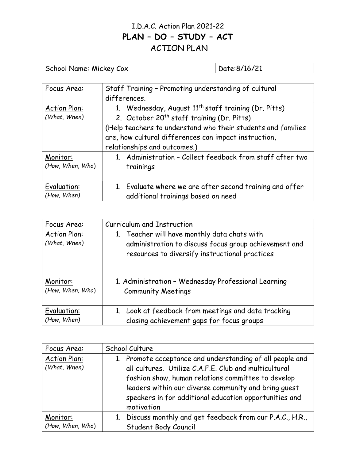## I.D.A.C. Action Plan 2021-22 PLAN – DO – STUDY – ACT ACTION PLAN

School Name: Mickey Cox Date:8/16/21

| Focus Area:         | Staff Training - Promoting understanding of cultural             |
|---------------------|------------------------------------------------------------------|
|                     | differences.                                                     |
| <b>Action Plan:</b> | 1. Wednesday, August 11 <sup>th</sup> staff training (Dr. Pitts) |
| (What, When)        | 2. October 20 <sup>th</sup> staff training (Dr. Pitts)           |
|                     | (Help teachers to understand who their students and families     |
|                     | are, how cultural differences can impact instruction,            |
|                     | relationships and outcomes.)                                     |
| Monitor:            | 1. Administration - Collect feedback from staff after two        |
| (How, When, Who)    | trainings                                                        |
|                     |                                                                  |
| Evaluation:         | 1. Evaluate where we are after second training and offer         |
| (How, When)         | additional trainings based on need                               |

| Focus Area:                         | Curriculum and Instruction                                                                                                                              |
|-------------------------------------|---------------------------------------------------------------------------------------------------------------------------------------------------------|
| <b>Action Plan:</b><br>(What, When) | 1. Teacher will have monthly data chats with<br>administration to discuss focus group achievement and<br>resources to diversify instructional practices |
| Monitor:                            | 1. Administration - Wednesday Professional Learning                                                                                                     |
| (How, When, Who)                    | <b>Community Meetings</b>                                                                                                                               |
| Evaluation:                         | 1. Look at feedback from meetings and data tracking                                                                                                     |
| (How, When)                         | closing achievement gaps for focus groups                                                                                                               |

| Focus Area:                         | School Culture                                                                                                                                                                                                                                                                                           |
|-------------------------------------|----------------------------------------------------------------------------------------------------------------------------------------------------------------------------------------------------------------------------------------------------------------------------------------------------------|
| <b>Action Plan:</b><br>(What, When) | 1. Promote acceptance and understanding of all people and<br>all cultures. Utilize C.A.F.E. Club and multicultural<br>fashion show, human relations committee to develop<br>leaders within our diverse community and bring quest<br>speakers in for additional education opportunities and<br>motivation |
| Monitor:<br>(How, When, Who)        | 1. Discuss monthly and get feedback from our P.A.C., H.R.,<br>Student Body Council                                                                                                                                                                                                                       |